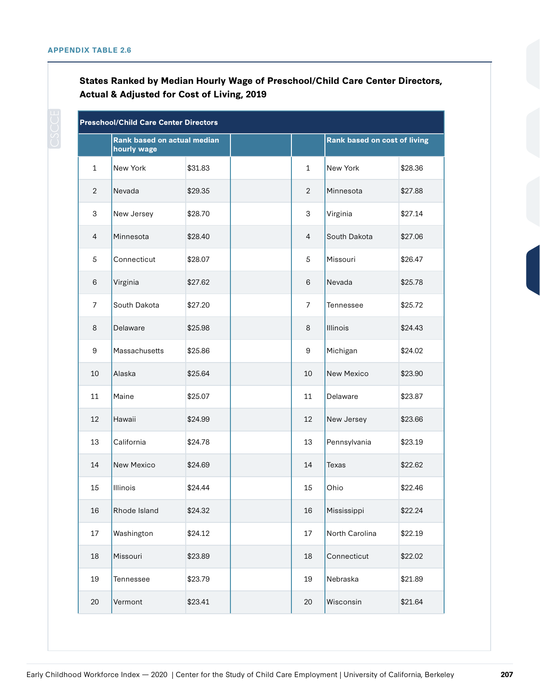## **States Ranked by Median Hourly Wage of Preschool/Child Care Center Directors, Actual & Adjusted for Cost of Living, 2019**

| <b>Preschool/Child Care Center Directors</b> |                                            |         |  |                |                                     |         |  |
|----------------------------------------------|--------------------------------------------|---------|--|----------------|-------------------------------------|---------|--|
|                                              | Rank based on actual median<br>hourly wage |         |  |                | <b>Rank based on cost of living</b> |         |  |
| $\mathbf{1}$                                 | New York                                   | \$31.83 |  | $\mathbf{1}$   | New York                            | \$28.36 |  |
| $\overline{2}$                               | Nevada                                     | \$29.35 |  | $\overline{2}$ | Minnesota                           | \$27.88 |  |
| 3                                            | New Jersey                                 | \$28.70 |  | 3              | Virginia                            | \$27.14 |  |
| $\overline{4}$                               | Minnesota                                  | \$28.40 |  | $\overline{4}$ | South Dakota                        | \$27.06 |  |
| $\sqrt{5}$                                   | Connecticut                                | \$28.07 |  | 5              | Missouri                            | \$26.47 |  |
| $\,6$                                        | Virginia                                   | \$27.62 |  | 6              | Nevada                              | \$25.78 |  |
| $\overline{7}$                               | South Dakota                               | \$27.20 |  | $\overline{7}$ | Tennessee                           | \$25.72 |  |
| 8                                            | Delaware                                   | \$25.98 |  | 8              | Illinois                            | \$24.43 |  |
| 9                                            | Massachusetts                              | \$25.86 |  | 9              | Michigan                            | \$24.02 |  |
| 10                                           | Alaska                                     | \$25.64 |  | 10             | New Mexico                          | \$23.90 |  |
| 11                                           | Maine                                      | \$25.07 |  | 11             | Delaware                            | \$23.87 |  |
| 12                                           | Hawaii                                     | \$24.99 |  | 12             | New Jersey                          | \$23.66 |  |
| 13                                           | California                                 | \$24.78 |  | 13             | Pennsylvania                        | \$23.19 |  |
| 14                                           | New Mexico                                 | \$24.69 |  | 14             | <b>Texas</b>                        | \$22.62 |  |
| 15                                           | Illinois                                   | \$24.44 |  | 15             | Ohio                                | \$22.46 |  |
| 16                                           | Rhode Island                               | \$24.32 |  | 16             | Mississippi                         | \$22.24 |  |
| 17                                           | Washington                                 | \$24.12 |  | 17             | North Carolina                      | \$22.19 |  |
| 18                                           | Missouri                                   | \$23.89 |  | 18             | Connecticut                         | \$22.02 |  |
| 19                                           | Tennessee                                  | \$23.79 |  | 19             | Nebraska                            | \$21.89 |  |
| 20                                           | Vermont                                    | \$23.41 |  | 20             | Wisconsin                           | \$21.64 |  |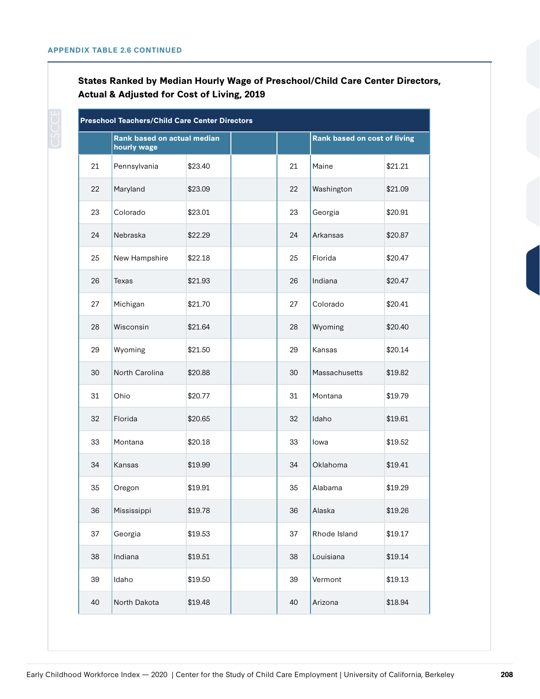## **States Ranked by Median Hourly Wage of Preschool/Child Care Center Directors, Actual & Adjusted for Cost of Living, 2019**

| <b>Preschool Teachers/Child Care Center Directors</b> |                                            |         |  |    |                                     |         |  |
|-------------------------------------------------------|--------------------------------------------|---------|--|----|-------------------------------------|---------|--|
|                                                       | Rank based on actual median<br>hourly wage |         |  |    | <b>Rank based on cost of living</b> |         |  |
| 21                                                    | Pennsylvania                               | \$23.40 |  | 21 | Maine                               | \$21.21 |  |
| 22                                                    | Maryland                                   | \$23.09 |  | 22 | Washington                          | \$21.09 |  |
| 23                                                    | Colorado                                   | \$23.01 |  | 23 | Georgia                             | \$20.91 |  |
| 24                                                    | Nebraska                                   | \$22.29 |  | 24 | Arkansas                            | \$20.87 |  |
| 25                                                    | New Hampshire                              | \$22.18 |  | 25 | Florida                             | \$20.47 |  |
| 26                                                    | <b>Texas</b>                               | \$21.93 |  | 26 | Indiana                             | \$20.47 |  |
| 27                                                    | Michigan                                   | \$21.70 |  | 27 | Colorado                            | \$20.41 |  |
| 28                                                    | Wisconsin                                  | \$21.64 |  | 28 | Wyoming                             | \$20.40 |  |
| 29                                                    | Wyoming                                    | \$21.50 |  | 29 | Kansas                              | \$20.14 |  |
| 30                                                    | North Carolina                             | \$20.88 |  | 30 | Massachusetts                       | \$19.82 |  |
| 31                                                    | Ohio                                       | \$20.77 |  | 31 | Montana                             | \$19.79 |  |
| 32                                                    | Florida                                    | \$20.65 |  | 32 | Idaho                               | \$19.61 |  |
| 33                                                    | Montana                                    | \$20.18 |  | 33 | lowa                                | \$19.52 |  |
| 34                                                    | Kansas                                     | \$19.99 |  | 34 | Oklahoma                            | \$19.41 |  |
| 35                                                    | Oregon                                     | \$19.91 |  | 35 | Alabama                             | \$19.29 |  |
| 36                                                    | Mississippi                                | \$19.78 |  | 36 | Alaska                              | \$19.26 |  |
| 37                                                    | Georgia                                    | \$19.53 |  | 37 | Rhode Island                        | \$19.17 |  |
| 38                                                    | Indiana                                    | \$19.51 |  | 38 | Louisiana                           | \$19.14 |  |
| 39                                                    | Idaho                                      | \$19.50 |  | 39 | Vermont                             | \$19.13 |  |
| 40                                                    | North Dakota                               | \$19.48 |  | 40 | Arizona                             | \$18.94 |  |